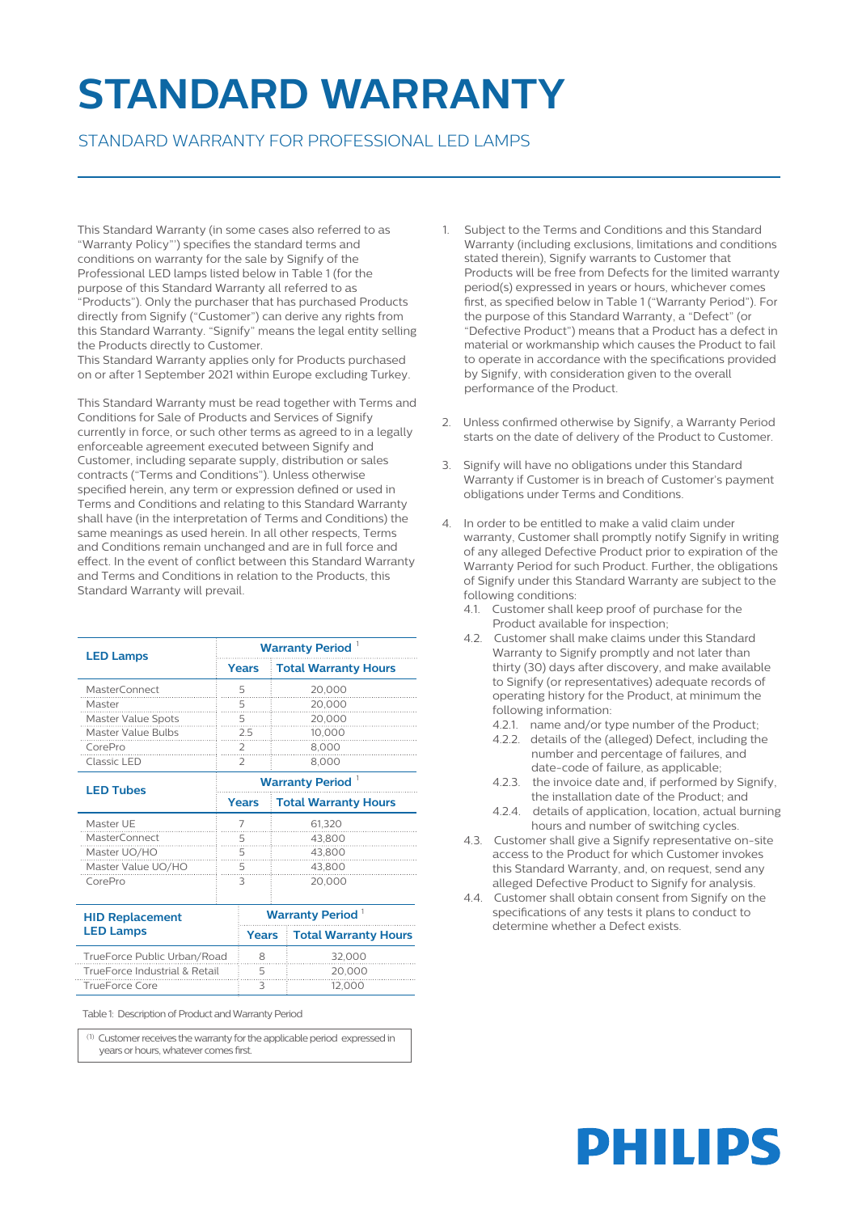## **STANDARD WARRANTY**

## STANDARD WARRANTY FOR PROFESSIONAL LED LAMPS

This Standard Warranty (in some cases also referred to as "Warranty Policy"') specifies the standard terms and conditions on warranty for the sale by Signify of the Professional LED lamps listed below in Table 1 (for the purpose of this Standard Warranty all referred to as "Products"). Only the purchaser that has purchased Products directly from Signify ("Customer") can derive any rights from this Standard Warranty. "Signify" means the legal entity selling the Products directly to Customer.

This Standard Warranty applies only for Products purchased on or after 1 September 2021 within Europe excluding Turkey.

This Standard Warranty must be read together with Terms and Conditions for Sale of Products and Services of Signify currently in force, or such other terms as agreed to in a legally enforceable agreement executed between Signify and Customer, including separate supply, distribution or sales contracts ("Terms and Conditions"). Unless otherwise specified herein, any term or expression defined or used in Terms and Conditions and relating to this Standard Warranty shall have (in the interpretation of Terms and Conditions) the same meanings as used herein. In all other respects, Terms and Conditions remain unchanged and are in full force and effect. In the event of conflict between this Standard Warranty and Terms and Conditions in relation to the Products, this Standard Warranty will prevail.

| <b>LED Lamps</b>                           | <b>Warranty Period</b> <sup>1</sup> |                        |        |                             |  |
|--------------------------------------------|-------------------------------------|------------------------|--------|-----------------------------|--|
|                                            |                                     | <b>Years</b>           |        | <b>Total Warranty Hours</b> |  |
| <b>MasterConnect</b>                       | 5                                   |                        |        | 20,000                      |  |
| Master                                     | 5                                   |                        |        | 20,000<br>.                 |  |
| Master Value Spots                         | 5                                   |                        |        | 20,000                      |  |
| <b>Master Value Bulbs</b>                  | 2.5                                 |                        |        | 10,000                      |  |
| CorePro                                    | 2                                   |                        |        | 8,000                       |  |
| Classic LED                                |                                     | 2                      |        | 8,000                       |  |
| <b>LED Tubes</b>                           | <b>Warranty Period</b> <sup>1</sup> |                        |        |                             |  |
|                                            |                                     | <b>Years</b>           |        | <b>Total Warranty Hours</b> |  |
| Master UE                                  | 7                                   |                        |        | 61,320                      |  |
| <b>MasterConnect</b>                       | 5                                   |                        |        | 43,800                      |  |
| Master UO/HO                               | 5                                   |                        | 43,800 |                             |  |
| Master Value UO/HO                         | 5                                   |                        | 43,800 |                             |  |
| CorePro                                    | 3                                   |                        | 20,000 |                             |  |
| <b>HID Replacement</b><br><b>LED Lamps</b> |                                     | <b>Warranty Period</b> |        |                             |  |
|                                            |                                     | <b>Years</b>           |        | <b>Total Warranty Hours</b> |  |
| TrueForce Public Urban/Road                |                                     | 8                      |        | 32,000                      |  |
| TrueForce Industrial & Retail              |                                     | 5                      |        | 20,000                      |  |
| <b>TrueForce Core</b>                      |                                     | 3                      |        | 12,000                      |  |

Table 1: Description of Product and Warranty Period

 $(1)$  Customer receives the warranty for the applicable period expressed in years or hours, whatever comes first.

- 1. Subject to the Terms and Conditions and this Standard Warranty (including exclusions, limitations and conditions stated therein), Signify warrants to Customer that Products will be free from Defects for the limited warranty period(s) expressed in years or hours, whichever comes first, as specified below in Table 1 ("Warranty Period"). For the purpose of this Standard Warranty, a "Defect" (or "Defective Product") means that a Product has a defect in material or workmanship which causes the Product to fail to operate in accordance with the specifications provided by Signify, with consideration given to the overall performance of the Product.
- 2. Unless confirmed otherwise by Signify, a Warranty Period starts on the date of delivery of the Product to Customer.
- 3. Signify will have no obligations under this Standard Warranty if Customer is in breach of Customer's payment obligations under Terms and Conditions.
- 4. In order to be entitled to make a valid claim under warranty, Customer shall promptly notify Signify in writing of any alleged Defective Product prior to expiration of the Warranty Period for such Product. Further, the obligations of Signify under this Standard Warranty are subject to the following conditions:
	- 4.1. Customer shall keep proof of purchase for the Product available for inspection;
	- 4.2. Customer shall make claims under this Standard Warranty to Signify promptly and not later than thirty (30) days after discovery, and make available to Signify (or representatives) adequate records of operating history for the Product, at minimum the following information:
		- 4.2.1. name and/or type number of the Product;
		- 4.2.2. details of the (alleged) Defect, including the number and percentage of failures, and date-code of failure, as applicable;
		- 4.2.3. the invoice date and, if performed by Signify, the installation date of the Product; and
		- 4.2.4. details of application, location, actual burning hours and number of switching cycles.
	- 4.3. Customer shall give a Signify representative on-site access to the Product for which Customer invokes this Standard Warranty, and, on request, send any alleged Defective Product to Signify for analysis.
	- 4.4. Customer shall obtain consent from Signify on the specifications of any tests it plans to conduct to determine whether a Defect exists.

## **PHILIPS**